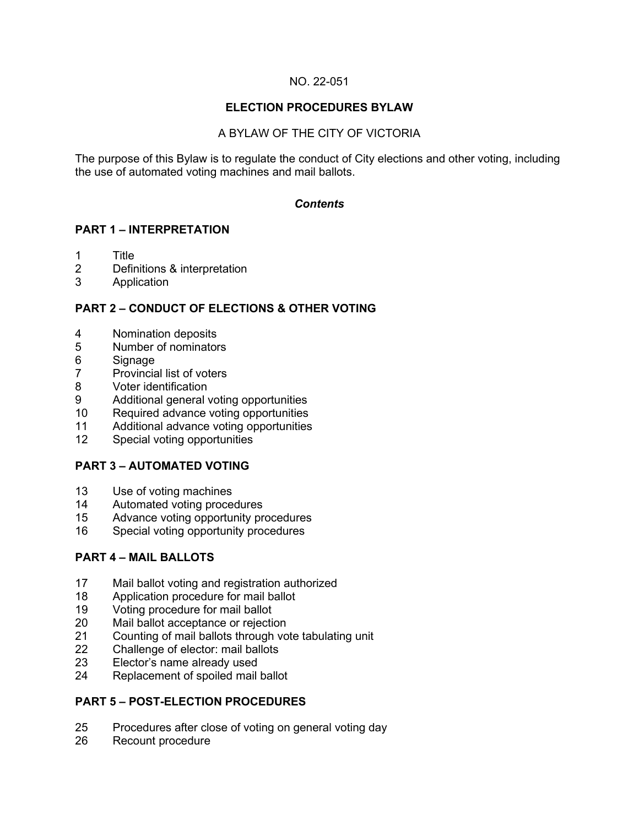## NO. 22-051

## **ELECTION PROCEDURES BYLAW**

## A BYLAW OF THE CITY OF VICTORIA

The purpose of this Bylaw is to regulate the conduct of City elections and other voting, including the use of automated voting machines and mail ballots.

## *Contents*

## **PART 1 – INTERPRETATION**

- 1 Title
- 2 Definitions & interpretation
- **Application**

## **PART 2 – CONDUCT OF ELECTIONS & OTHER VOTING**

- 4 Nomination deposits<br>5 Number of nominator
- Number of nominators
- 6 Signage<br>7 Provincia
- Provincial list of voters
- 8 Voter identification
- 9 Additional general voting opportunities
- Required advance voting opportunities
- 11 Additional advance voting opportunities
- 12 Special voting opportunities

## **PART 3 – AUTOMATED VOTING**

- 13 Use of voting machines<br>14 Automated voting proce
- 14 Automated voting procedures<br>15 Advance voting opportunity pr
- Advance voting opportunity procedures
- 16 Special voting opportunity procedures

## **PART 4 – MAIL BALLOTS**

- 17 Mail ballot voting and registration authorized<br>18 Application procedure for mail ballot
- 18 Application procedure for mail ballot<br>19 Voting procedure for mail ballot
- 19 Voting procedure for mail ballot<br>20 Mail ballot acceptance or rejecti
- Mail ballot acceptance or rejection
- 21 Counting of mail ballots through vote tabulating unit<br>22 Challenge of elector: mail ballots
- Challenge of elector: mail ballots
- 23 Elector's name already used
- 24 Replacement of spoiled mail ballot

## **PART 5 – POST-ELECTION PROCEDURES**

- 25 Procedures after close of voting on general voting day<br>26 Recount procedure
- Recount procedure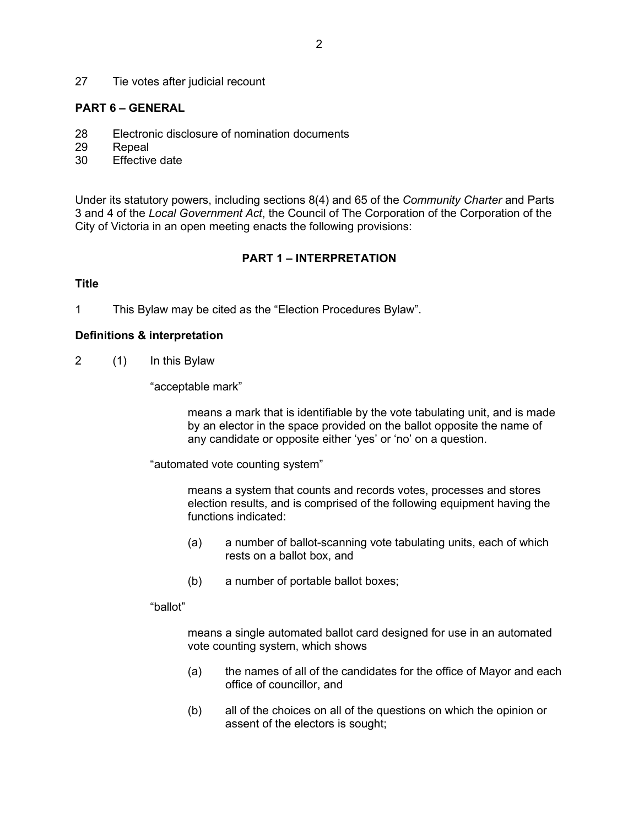27 Tie votes after judicial recount

#### **PART 6 – GENERAL**

- 28 Electronic disclosure of nomination documents
- 29 Repeal
- 30 Effective date

Under its statutory powers, including sections 8(4) and 65 of the *Community Charter* and Parts 3 and 4 of the *Local Government Act*, the Council of The Corporation of the Corporation of the City of Victoria in an open meeting enacts the following provisions:

### **PART 1 – INTERPRETATION**

#### **Title**

1 This Bylaw may be cited as the "Election Procedures Bylaw".

#### **Definitions & interpretation**

2 (1) In this Bylaw

"acceptable mark"

means a mark that is identifiable by the vote tabulating unit, and is made by an elector in the space provided on the ballot opposite the name of any candidate or opposite either 'yes' or 'no' on a question.

"automated vote counting system"

means a system that counts and records votes, processes and stores election results, and is comprised of the following equipment having the functions indicated:

- (a) a number of ballot-scanning vote tabulating units, each of which rests on a ballot box, and
- (b) a number of portable ballot boxes;

#### "ballot"

means a single automated ballot card designed for use in an automated vote counting system, which shows

- (a) the names of all of the candidates for the office of Mayor and each office of councillor, and
- (b) all of the choices on all of the questions on which the opinion or assent of the electors is sought;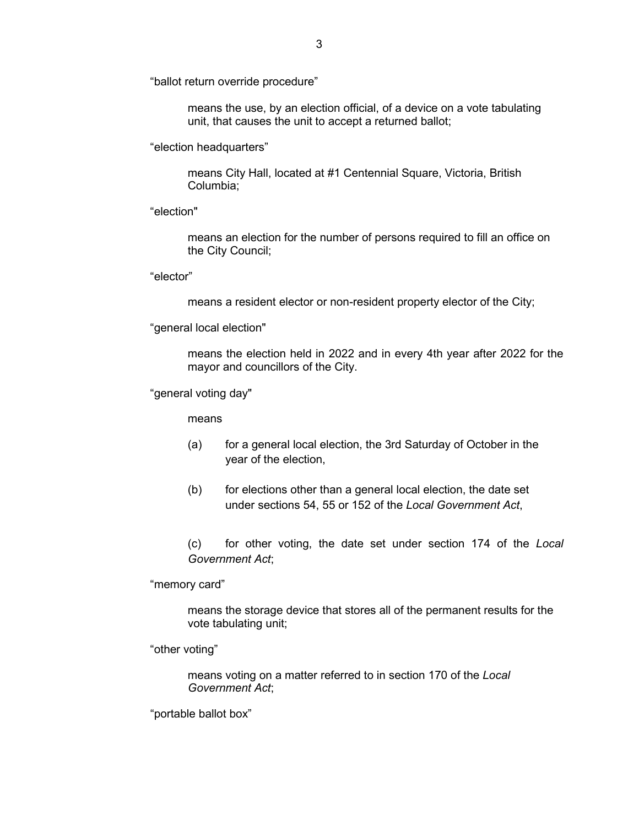"ballot return override procedure"

means the use, by an election official, of a device on a vote tabulating unit, that causes the unit to accept a returned ballot;

"election headquarters"

means City Hall, located at #1 Centennial Square, Victoria, British Columbia;

"election"

means an election for the number of persons required to fill an office on the City Council;

"elector"

means a resident elector or non-resident property elector of the City;

"general local election"

means the election held in 2022 and in every 4th year after 2022 for the mayor and councillors of the City.

"general voting day"

means

- (a) for a general local election, the 3rd Saturday of October in the year of the election,
- (b) for elections other than a general local election, the date set under sections 54, 55 or 152 of the *Local Government Act*,

(c) for other voting, the date set under section 174 of the *Local Government Act*;

"memory card"

means the storage device that stores all of the permanent results for the vote tabulating unit;

"other voting"

means voting on a matter referred to in section 170 of the *Local Government Act*;

"portable ballot box"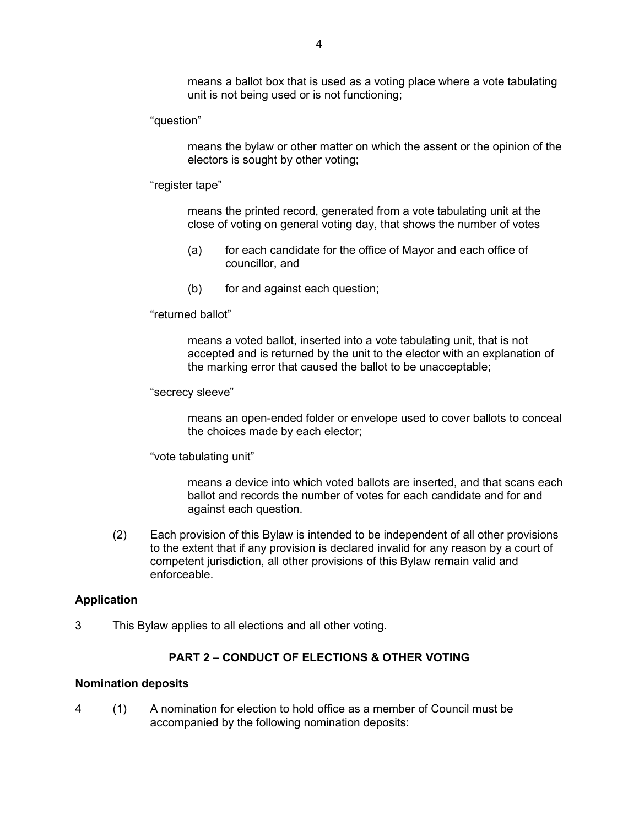means a ballot box that is used as a voting place where a vote tabulating unit is not being used or is not functioning;

"question"

means the bylaw or other matter on which the assent or the opinion of the electors is sought by other voting;

"register tape"

means the printed record, generated from a vote tabulating unit at the close of voting on general voting day, that shows the number of votes

- (a) for each candidate for the office of Mayor and each office of councillor, and
- (b) for and against each question;

"returned ballot"

means a voted ballot, inserted into a vote tabulating unit, that is not accepted and is returned by the unit to the elector with an explanation of the marking error that caused the ballot to be unacceptable;

"secrecy sleeve"

means an open-ended folder or envelope used to cover ballots to conceal the choices made by each elector;

"vote tabulating unit"

means a device into which voted ballots are inserted, and that scans each ballot and records the number of votes for each candidate and for and against each question.

(2) Each provision of this Bylaw is intended to be independent of all other provisions to the extent that if any provision is declared invalid for any reason by a court of competent jurisdiction, all other provisions of this Bylaw remain valid and enforceable.

#### **Application**

3 This Bylaw applies to all elections and all other voting.

#### **PART 2 – CONDUCT OF ELECTIONS & OTHER VOTING**

#### **Nomination deposits**

4 (1) A nomination for election to hold office as a member of Council must be accompanied by the following nomination deposits: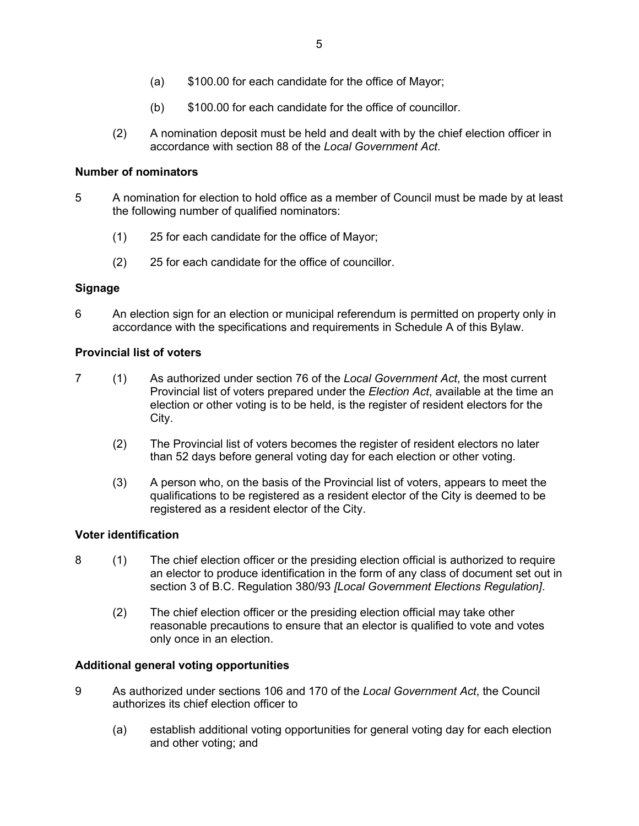- (a) \$100.00 for each candidate for the office of Mayor;
- (b) \$100.00 for each candidate for the office of councillor.
- (2) A nomination deposit must be held and dealt with by the chief election officer in accordance with section 88 of the *Local Government Act*.

### **Number of nominators**

- 5 A nomination for election to hold office as a member of Council must be made by at least the following number of qualified nominators:
	- (1) 25 for each candidate for the office of Mayor;
	- (2) 25 for each candidate for the office of councillor.

### **Signage**

6 An election sign for an election or municipal referendum is permitted on property only in accordance with the specifications and requirements in Schedule A of this Bylaw.

### **Provincial list of voters**

- 7 (1) As authorized under section 76 of the *Local Government Act*, the most current Provincial list of voters prepared under the *Election Act*, available at the time an election or other voting is to be held, is the register of resident electors for the City.
	- (2) The Provincial list of voters becomes the register of resident electors no later than 52 days before general voting day for each election or other voting.
	- (3) A person who, on the basis of the Provincial list of voters, appears to meet the qualifications to be registered as a resident elector of the City is deemed to be registered as a resident elector of the City.

#### **Voter identification**

- 8 (1) The chief election officer or the presiding election official is authorized to require an elector to produce identification in the form of any class of document set out in section 3 of B.C. Regulation 380/93 *[Local Government Elections Regulation]*.
	- (2) The chief election officer or the presiding election official may take other reasonable precautions to ensure that an elector is qualified to vote and votes only once in an election.

#### **Additional general voting opportunities**

- 9 As authorized under sections 106 and 170 of the *Local Government Act*, the Council authorizes its chief election officer to
	- (a) establish additional voting opportunities for general voting day for each election and other voting; and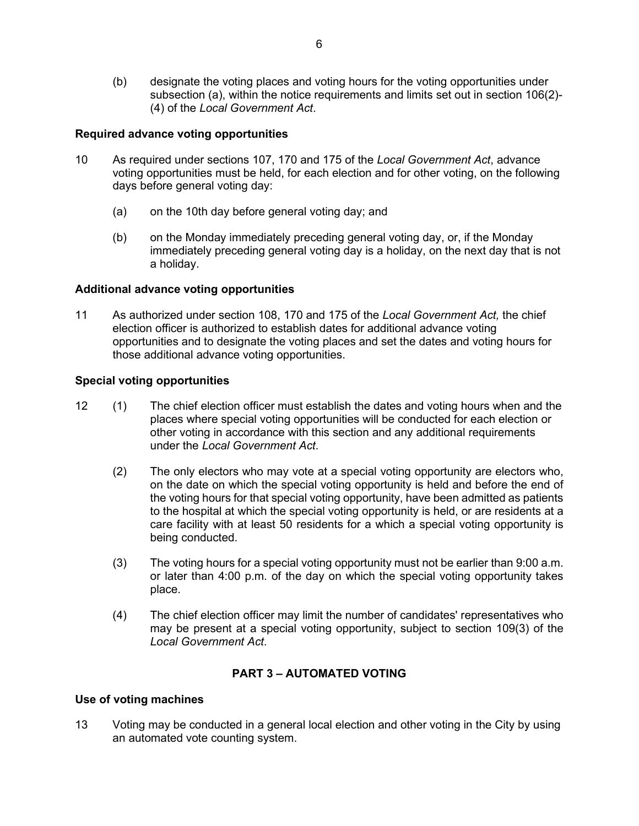(b) designate the voting places and voting hours for the voting opportunities under subsection (a), within the notice requirements and limits set out in section 106(2)- (4) of the *Local Government Act*.

## **Required advance voting opportunities**

- 10 As required under sections 107, 170 and 175 of the *Local Government Act*, advance voting opportunities must be held, for each election and for other voting, on the following days before general voting day:
	- (a) on the 10th day before general voting day; and
	- (b) on the Monday immediately preceding general voting day, or, if the Monday immediately preceding general voting day is a holiday, on the next day that is not a holiday.

### **Additional advance voting opportunities**

11 As authorized under section 108, 170 and 175 of the *Local Government Act,* the chief election officer is authorized to establish dates for additional advance voting opportunities and to designate the voting places and set the dates and voting hours for those additional advance voting opportunities.

### **Special voting opportunities**

- 12 (1) The chief election officer must establish the dates and voting hours when and the places where special voting opportunities will be conducted for each election or other voting in accordance with this section and any additional requirements under the *Local Government Act*.
	- (2) The only electors who may vote at a special voting opportunity are electors who, on the date on which the special voting opportunity is held and before the end of the voting hours for that special voting opportunity, have been admitted as patients to the hospital at which the special voting opportunity is held, or are residents at a care facility with at least 50 residents for a which a special voting opportunity is being conducted.
	- (3) The voting hours for a special voting opportunity must not be earlier than 9:00 a.m. or later than 4:00 p.m. of the day on which the special voting opportunity takes place.
	- (4) The chief election officer may limit the number of candidates' representatives who may be present at a special voting opportunity, subject to section 109(3) of the *Local Government Act*.

## **PART 3 – AUTOMATED VOTING**

#### **Use of voting machines**

13 Voting may be conducted in a general local election and other voting in the City by using an automated vote counting system.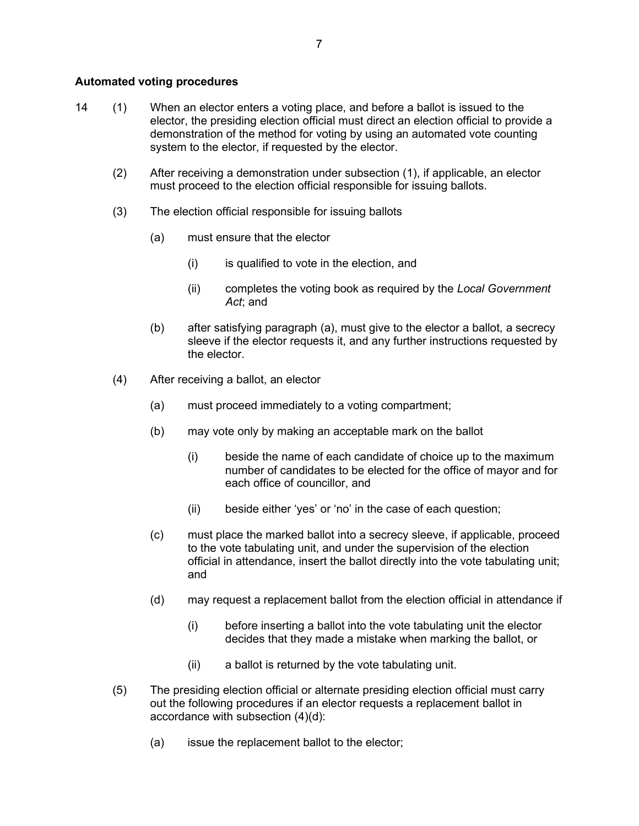### **Automated voting procedures**

- 14 (1) When an elector enters a voting place, and before a ballot is issued to the elector, the presiding election official must direct an election official to provide a demonstration of the method for voting by using an automated vote counting system to the elector, if requested by the elector.
	- (2) After receiving a demonstration under subsection (1), if applicable, an elector must proceed to the election official responsible for issuing ballots.
	- (3) The election official responsible for issuing ballots
		- (a) must ensure that the elector
			- $(i)$  is qualified to vote in the election, and
			- (ii) completes the voting book as required by the *Local Government Act*; and
		- (b) after satisfying paragraph (a), must give to the elector a ballot, a secrecy sleeve if the elector requests it, and any further instructions requested by the elector.
	- (4) After receiving a ballot, an elector
		- (a) must proceed immediately to a voting compartment;
		- (b) may vote only by making an acceptable mark on the ballot
			- (i) beside the name of each candidate of choice up to the maximum number of candidates to be elected for the office of mayor and for each office of councillor, and
			- (ii) beside either 'yes' or 'no' in the case of each question;
		- (c) must place the marked ballot into a secrecy sleeve, if applicable, proceed to the vote tabulating unit, and under the supervision of the election official in attendance, insert the ballot directly into the vote tabulating unit; and
		- (d) may request a replacement ballot from the election official in attendance if
			- (i) before inserting a ballot into the vote tabulating unit the elector decides that they made a mistake when marking the ballot, or
			- (ii) a ballot is returned by the vote tabulating unit.
	- (5) The presiding election official or alternate presiding election official must carry out the following procedures if an elector requests a replacement ballot in accordance with subsection (4)(d):
		- (a) issue the replacement ballot to the elector;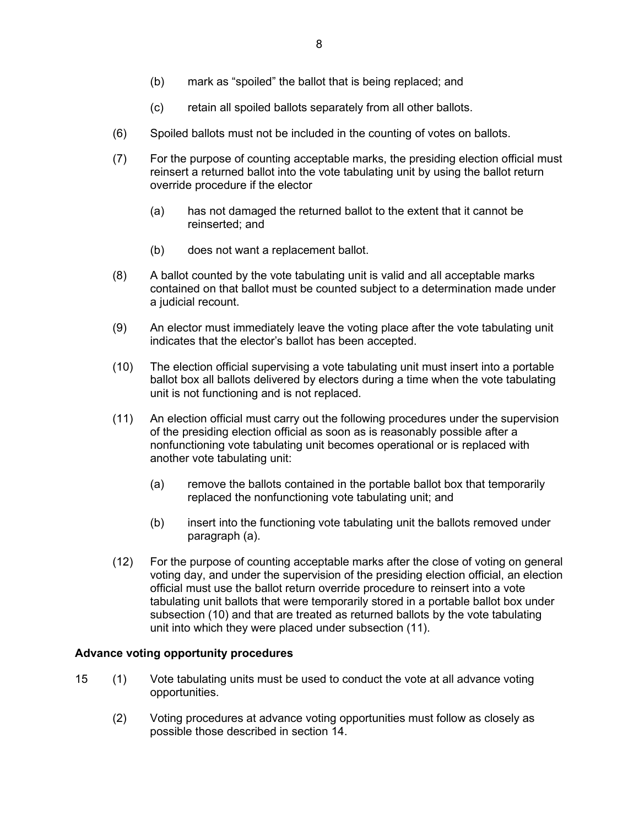- (b) mark as "spoiled" the ballot that is being replaced; and
- (c) retain all spoiled ballots separately from all other ballots.
- (6) Spoiled ballots must not be included in the counting of votes on ballots.
- (7) For the purpose of counting acceptable marks, the presiding election official must reinsert a returned ballot into the vote tabulating unit by using the ballot return override procedure if the elector
	- (a) has not damaged the returned ballot to the extent that it cannot be reinserted; and
	- (b) does not want a replacement ballot.
- (8) A ballot counted by the vote tabulating unit is valid and all acceptable marks contained on that ballot must be counted subject to a determination made under a judicial recount.
- (9) An elector must immediately leave the voting place after the vote tabulating unit indicates that the elector's ballot has been accepted.
- (10) The election official supervising a vote tabulating unit must insert into a portable ballot box all ballots delivered by electors during a time when the vote tabulating unit is not functioning and is not replaced.
- (11) An election official must carry out the following procedures under the supervision of the presiding election official as soon as is reasonably possible after a nonfunctioning vote tabulating unit becomes operational or is replaced with another vote tabulating unit:
	- (a) remove the ballots contained in the portable ballot box that temporarily replaced the nonfunctioning vote tabulating unit; and
	- (b) insert into the functioning vote tabulating unit the ballots removed under paragraph (a).
- (12) For the purpose of counting acceptable marks after the close of voting on general voting day, and under the supervision of the presiding election official, an election official must use the ballot return override procedure to reinsert into a vote tabulating unit ballots that were temporarily stored in a portable ballot box under subsection (10) and that are treated as returned ballots by the vote tabulating unit into which they were placed under subsection (11).

#### **Advance voting opportunity procedures**

- 15 (1) Vote tabulating units must be used to conduct the vote at all advance voting opportunities.
	- (2) Voting procedures at advance voting opportunities must follow as closely as possible those described in section 14.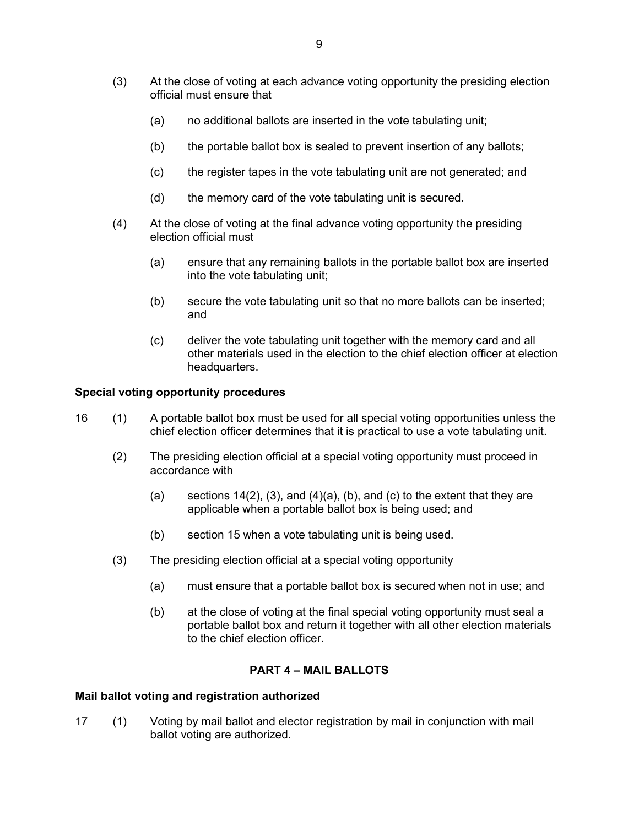- (3) At the close of voting at each advance voting opportunity the presiding election official must ensure that
	- (a) no additional ballots are inserted in the vote tabulating unit;
	- (b) the portable ballot box is sealed to prevent insertion of any ballots;
	- (c) the register tapes in the vote tabulating unit are not generated; and
	- (d) the memory card of the vote tabulating unit is secured.
- (4) At the close of voting at the final advance voting opportunity the presiding election official must
	- (a) ensure that any remaining ballots in the portable ballot box are inserted into the vote tabulating unit;
	- (b) secure the vote tabulating unit so that no more ballots can be inserted; and
	- (c) deliver the vote tabulating unit together with the memory card and all other materials used in the election to the chief election officer at election headquarters.

#### **Special voting opportunity procedures**

- 16 (1) A portable ballot box must be used for all special voting opportunities unless the chief election officer determines that it is practical to use a vote tabulating unit.
	- (2) The presiding election official at a special voting opportunity must proceed in accordance with
		- (a) sections  $14(2)$ ,  $(3)$ , and  $(4)(a)$ ,  $(b)$ , and  $(c)$  to the extent that they are applicable when a portable ballot box is being used; and
		- (b) section 15 when a vote tabulating unit is being used.
	- (3) The presiding election official at a special voting opportunity
		- (a) must ensure that a portable ballot box is secured when not in use; and
		- (b) at the close of voting at the final special voting opportunity must seal a portable ballot box and return it together with all other election materials to the chief election officer.

#### **PART 4 – MAIL BALLOTS**

#### **Mail ballot voting and registration authorized**

17 (1) Voting by mail ballot and elector registration by mail in conjunction with mail ballot voting are authorized.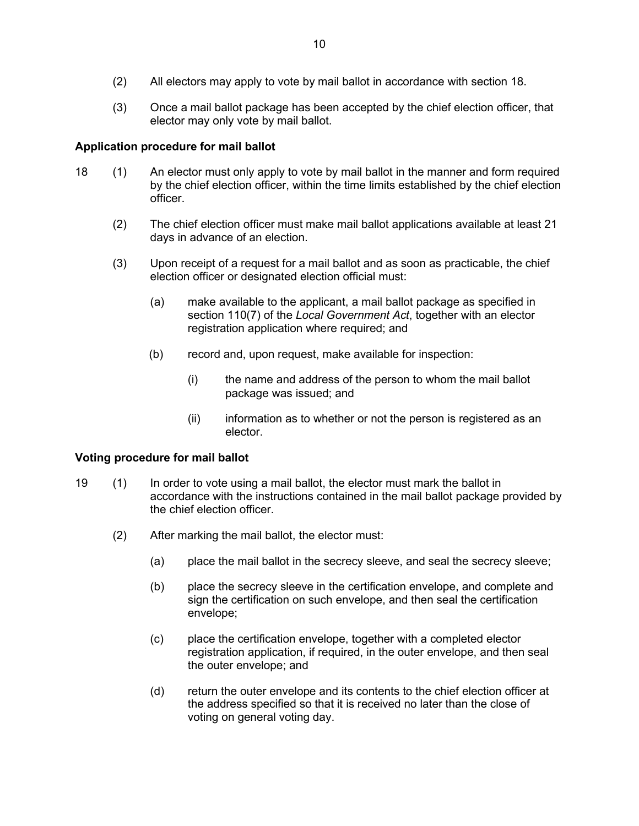- (2) All electors may apply to vote by mail ballot in accordance with section 18.
- (3) Once a mail ballot package has been accepted by the chief election officer, that elector may only vote by mail ballot.

## **Application procedure for mail ballot**

- 18 (1) An elector must only apply to vote by mail ballot in the manner and form required by the chief election officer, within the time limits established by the chief election officer.
	- (2) The chief election officer must make mail ballot applications available at least 21 days in advance of an election.
	- (3) Upon receipt of a request for a mail ballot and as soon as practicable, the chief election officer or designated election official must:
		- (a) make available to the applicant, a mail ballot package as specified in section 110(7) of the *Local Government Act*, together with an elector registration application where required; and
		- (b) record and, upon request, make available for inspection:
			- (i) the name and address of the person to whom the mail ballot package was issued; and
			- (ii) information as to whether or not the person is registered as an elector.

## **Voting procedure for mail ballot**

- 19 (1) In order to vote using a mail ballot, the elector must mark the ballot in accordance with the instructions contained in the mail ballot package provided by the chief election officer.
	- (2) After marking the mail ballot, the elector must:
		- (a) place the mail ballot in the secrecy sleeve, and seal the secrecy sleeve;
		- (b) place the secrecy sleeve in the certification envelope, and complete and sign the certification on such envelope, and then seal the certification envelope;
		- (c) place the certification envelope, together with a completed elector registration application, if required, in the outer envelope, and then seal the outer envelope; and
		- (d) return the outer envelope and its contents to the chief election officer at the address specified so that it is received no later than the close of voting on general voting day.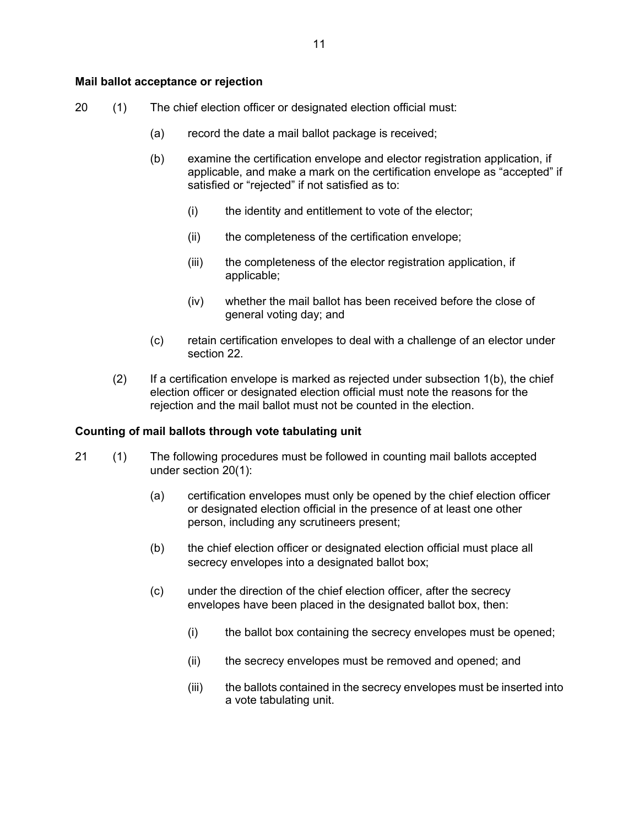#### **Mail ballot acceptance or rejection**

- 20 (1) The chief election officer or designated election official must:
	- (a) record the date a mail ballot package is received;
	- (b) examine the certification envelope and elector registration application, if applicable, and make a mark on the certification envelope as "accepted" if satisfied or "rejected" if not satisfied as to:
		- (i) the identity and entitlement to vote of the elector;
		- (ii) the completeness of the certification envelope;
		- (iii) the completeness of the elector registration application, if applicable;
		- (iv) whether the mail ballot has been received before the close of general voting day; and
	- (c) retain certification envelopes to deal with a challenge of an elector under section 22.
	- (2) If a certification envelope is marked as rejected under subsection 1(b), the chief election officer or designated election official must note the reasons for the rejection and the mail ballot must not be counted in the election.

#### **Counting of mail ballots through vote tabulating unit**

- 21 (1) The following procedures must be followed in counting mail ballots accepted under section 20(1):
	- (a) certification envelopes must only be opened by the chief election officer or designated election official in the presence of at least one other person, including any scrutineers present;
	- (b) the chief election officer or designated election official must place all secrecy envelopes into a designated ballot box;
	- (c) under the direction of the chief election officer, after the secrecy envelopes have been placed in the designated ballot box, then:
		- (i) the ballot box containing the secrecy envelopes must be opened;
		- (ii) the secrecy envelopes must be removed and opened; and
		- (iii) the ballots contained in the secrecy envelopes must be inserted into a vote tabulating unit.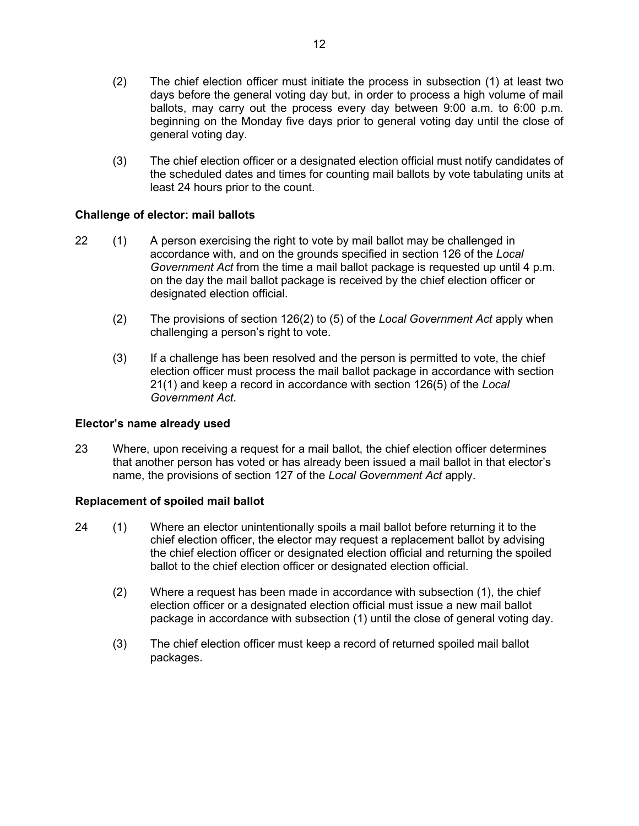- (2) The chief election officer must initiate the process in subsection (1) at least two days before the general voting day but, in order to process a high volume of mail ballots, may carry out the process every day between 9:00 a.m. to 6:00 p.m. beginning on the Monday five days prior to general voting day until the close of general voting day.
- (3) The chief election officer or a designated election official must notify candidates of the scheduled dates and times for counting mail ballots by vote tabulating units at least 24 hours prior to the count.

## **Challenge of elector: mail ballots**

- 22 (1) A person exercising the right to vote by mail ballot may be challenged in accordance with, and on the grounds specified in section 126 of the *Local Government Act* from the time a mail ballot package is requested up until 4 p.m. on the day the mail ballot package is received by the chief election officer or designated election official.
	- (2) The provisions of section 126(2) to (5) of the *Local Government Act* apply when challenging a person's right to vote.
	- (3) If a challenge has been resolved and the person is permitted to vote, the chief election officer must process the mail ballot package in accordance with section 21(1) and keep a record in accordance with section 126(5) of the *Local Government Act*.

## **Elector's name already used**

23 Where, upon receiving a request for a mail ballot, the chief election officer determines that another person has voted or has already been issued a mail ballot in that elector's name, the provisions of section 127 of the *Local Government Act* apply.

## **Replacement of spoiled mail ballot**

- 24 (1) Where an elector unintentionally spoils a mail ballot before returning it to the chief election officer, the elector may request a replacement ballot by advising the chief election officer or designated election official and returning the spoiled ballot to the chief election officer or designated election official.
	- (2) Where a request has been made in accordance with subsection (1), the chief election officer or a designated election official must issue a new mail ballot package in accordance with subsection (1) until the close of general voting day.
	- (3) The chief election officer must keep a record of returned spoiled mail ballot packages.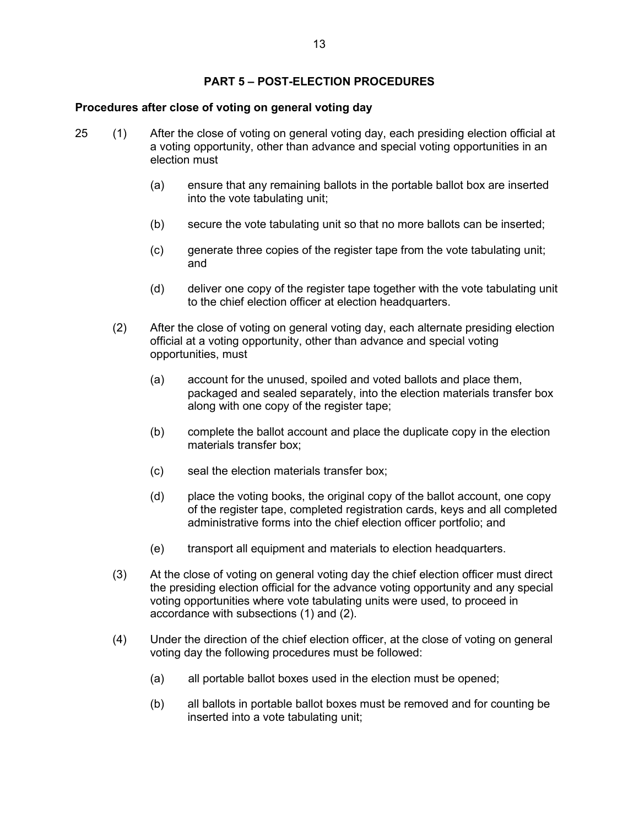### **PART 5 – POST-ELECTION PROCEDURES**

#### **Procedures after close of voting on general voting day**

- 25 (1) After the close of voting on general voting day, each presiding election official at a voting opportunity, other than advance and special voting opportunities in an election must
	- (a) ensure that any remaining ballots in the portable ballot box are inserted into the vote tabulating unit;
	- (b) secure the vote tabulating unit so that no more ballots can be inserted;
	- (c) generate three copies of the register tape from the vote tabulating unit; and
	- (d) deliver one copy of the register tape together with the vote tabulating unit to the chief election officer at election headquarters.
	- (2) After the close of voting on general voting day, each alternate presiding election official at a voting opportunity, other than advance and special voting opportunities, must
		- (a) account for the unused, spoiled and voted ballots and place them, packaged and sealed separately, into the election materials transfer box along with one copy of the register tape;
		- (b) complete the ballot account and place the duplicate copy in the election materials transfer box;
		- (c) seal the election materials transfer box;
		- (d) place the voting books, the original copy of the ballot account, one copy of the register tape, completed registration cards, keys and all completed administrative forms into the chief election officer portfolio; and
		- (e) transport all equipment and materials to election headquarters.
	- (3) At the close of voting on general voting day the chief election officer must direct the presiding election official for the advance voting opportunity and any special voting opportunities where vote tabulating units were used, to proceed in accordance with subsections (1) and (2).
	- (4) Under the direction of the chief election officer, at the close of voting on general voting day the following procedures must be followed:
		- (a) all portable ballot boxes used in the election must be opened;
		- (b) all ballots in portable ballot boxes must be removed and for counting be inserted into a vote tabulating unit;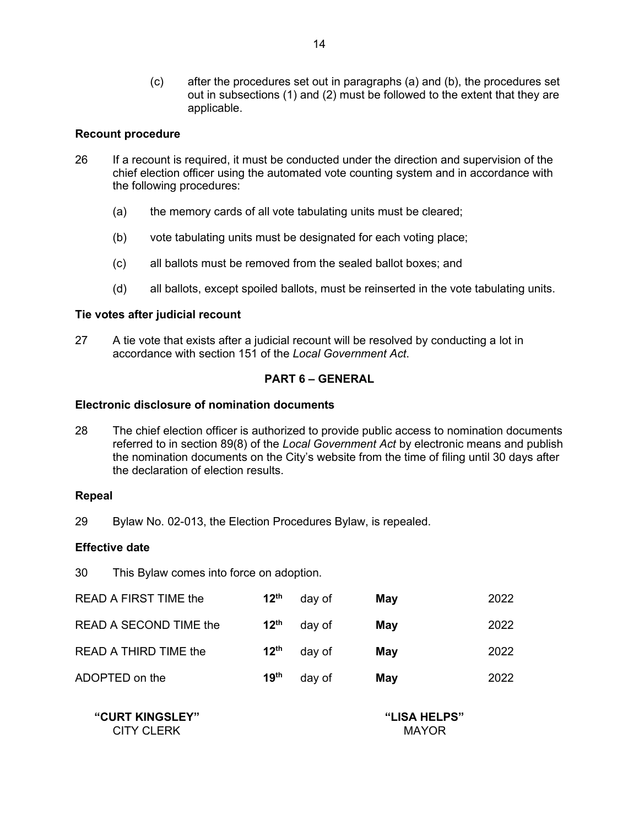(c) after the procedures set out in paragraphs (a) and (b), the procedures set out in subsections (1) and (2) must be followed to the extent that they are applicable.

### **Recount procedure**

- 26 If a recount is required, it must be conducted under the direction and supervision of the chief election officer using the automated vote counting system and in accordance with the following procedures:
	- (a) the memory cards of all vote tabulating units must be cleared;
	- (b) vote tabulating units must be designated for each voting place;
	- (c) all ballots must be removed from the sealed ballot boxes; and
	- (d) all ballots, except spoiled ballots, must be reinserted in the vote tabulating units.

### **Tie votes after judicial recount**

27 A tie vote that exists after a judicial recount will be resolved by conducting a lot in accordance with section 151 of the *Local Government Act*.

## **PART 6 – GENERAL**

#### **Electronic disclosure of nomination documents**

28 The chief election officer is authorized to provide public access to nomination documents referred to in section 89(8) of the *Local Government Act* by electronic means and publish the nomination documents on the City's website from the time of filing until 30 days after the declaration of election results.

#### **Repeal**

29 Bylaw No. 02-013, the Election Procedures Bylaw, is repealed.

#### **Effective date**

30 This Bylaw comes into force on adoption.

| <b>READ A FIRST TIME the</b> | 12 <sup>th</sup> | day of | May | 2022 |
|------------------------------|------------------|--------|-----|------|
| READ A SECOND TIME the       | $12^{\text{th}}$ | day of | May | 2022 |
| READ A THIRD TIME the        | $12^{\text{th}}$ | day of | May | 2022 |
| ADOPTED on the               | 19 <sup>th</sup> | day of | May | 2022 |

 **"CURT KINGSLEY" "LISA HELPS"** CITY CLERK